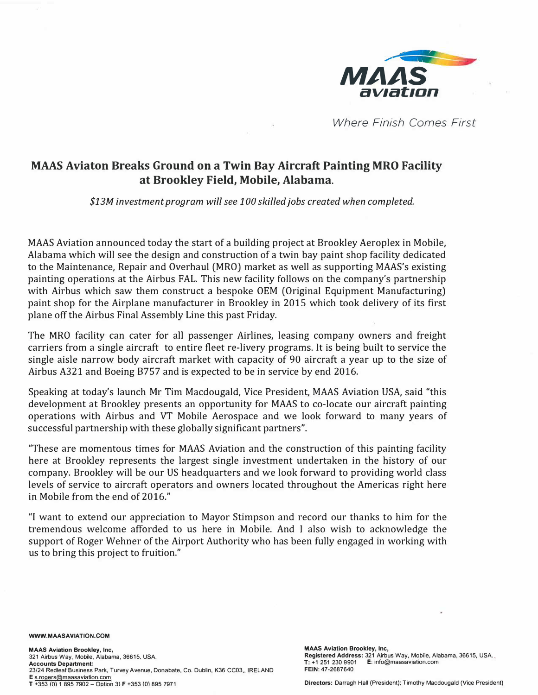

*Where Finish Comes First* 

## **MAAS Aviaton Breaks Ground on a Twin Bay Aircraft Painting MRO Facility at Brookley Field, Mobile, Alabama.**

*\$13M investment program will see 100 skilled jobs created when completed.* 

 $\sim 10^{-11}$ 

MAAS Aviation announced today the start of a building project at Brookley Aeroplex in Mobile, Alabama which will see the design and construction of a twin bay paint shop facility dedicated to the Maintenance, Repair and Overhaul (MRO) market as well as supporting MAAS's existing painting operations at the Airbus FAL. This new facility follows on the company's partnership with Airbus which saw them construct a bespoke OEM (Original Equipment Manufacturing) paint shop for the Airplane manufacturer in Brookley in 2015 which took delivery of its first plane off the Airbus Final Assembly Line this past Friday.

The MRO facility can cater for all passenger Airlines, leasing company owners and freight carriers from a single aircraft to entire fleet re-livery programs. It is being built to service the single aisle narrow body aircraft market with capacity of 90 aircraft a year up to the size of Airbus A321 and Boeing 8757 and is expected to be in service by end 2016.

Speaking at today's launch Mr Tim Macdougald, Vice President, MAAS Aviation USA, said "this development at Brookley presents an opportunity for MAAS to co-locate our aircraft painting operations with Airbus and VT Mobile Aerospace and we look forward to many years of successful partnership with these globally significant partners".

"These are momentous times for MAAS Aviation and the construction of this painting facility here at Brookley represents the largest single investment undertaken in the history of our company. Brookley will be our US headquarters and we look forward to providing world class levels of service to aircraft operators and owners located throughout the Americas right here in Mobile from the end of 2016."

"I want to extend our appreciation to Mayor Stimpson and record our thanks to him for the tremendous welcome afforded to us here in Mobile. And I also wish to acknowledge the support of Roger Wehner of the Airport Authority who has been fully engaged in working with us to bring this project to fruition."

WWW.MAASAVIATION.COM

MAAS Aviation Brookley, Inc, 321 Airbus Way, Mobile, Alabama, 36615, USA. Accounts Department: 23/24 Redleaf Business Park, Turvey Avenue, Donabate, Co. Dublin, K36 CC03,, IRELAND E s.rogers@maasaviation.com T +353 *(0\* 1 895 7902 - Option 3\ F +353 (0) 895 7971

MAAS Aviation Brookley, Inc, Registered Address: 321 Airbus Way, Mobile, Alabama, 36615, USA.. T: +1 251 230 9901 E: info@maasaviation.com FEIN: 47-2687640

Directors: Darragh Hall (President); Timothy Macdougald (Vice President)